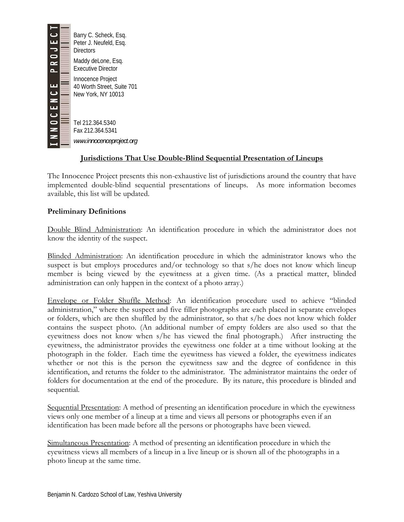

 Barry C. Scheck, Esq. Peter J. Neufeld, Esq. **Directors** Maddy deLone, Esq. Executive Director Innocence Project 40 Worth Street, Suite 701 New York, NY 10013

 $\blacksquare$  Tel 212.364.5340 Fax 212.364.5341 *www.innocenceproject.org* 

## **Jurisdictions That Use Double-Blind Sequential Presentation of Lineups**

The Innocence Project presents this non-exhaustive list of jurisdictions around the country that have implemented double-blind sequential presentations of lineups. As more information becomes available, this list will be updated.

## **Preliminary Definitions**

Double Blind Administration: An identification procedure in which the administrator does not know the identity of the suspect.

Blinded Administration: An identification procedure in which the administrator knows who the suspect is but employs procedures and/or technology so that s/he does not know which lineup member is being viewed by the eyewitness at a given time. (As a practical matter, blinded administration can only happen in the context of a photo array.)

Envelope or Folder Shuffle Method: An identification procedure used to achieve "blinded administration," where the suspect and five filler photographs are each placed in separate envelopes or folders, which are then shuffled by the administrator, so that s/he does not know which folder contains the suspect photo. (An additional number of empty folders are also used so that the eyewitness does not know when s/he has viewed the final photograph.) After instructing the eyewitness, the administrator provides the eyewitness one folder at a time without looking at the photograph in the folder. Each time the eyewitness has viewed a folder, the eyewitness indicates whether or not this is the person the eyewitness saw and the degree of confidence in this identification, and returns the folder to the administrator. The administrator maintains the order of folders for documentation at the end of the procedure. By its nature, this procedure is blinded and sequential.

Sequential Presentation: A method of presenting an identification procedure in which the eyewitness views only one member of a lineup at a time and views all persons or photographs even if an identification has been made before all the persons or photographs have been viewed.

Simultaneous Presentation: A method of presenting an identification procedure in which the eyewitness views all members of a lineup in a live lineup or is shown all of the photographs in a photo lineup at the same time.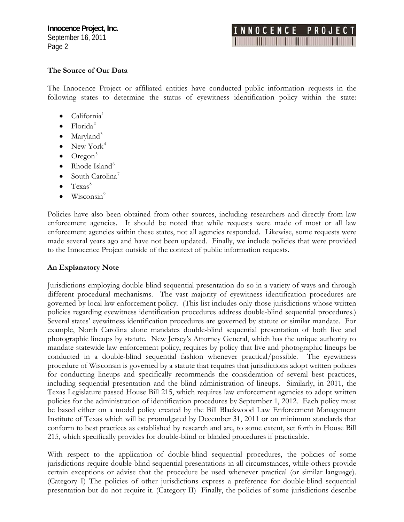## INNOCENCE PROJE **The Communication**

#### **The Source of Our Data**

The Innocence Project or affiliated entities have conducted public information requests in the following states to determine the status of eyewitness identification policy within the state:

- $\bullet$  California<sup>[1](#page-4-0)</sup>
- $\bullet$  Florida<sup>[2](#page-4-1)</sup>
- Maryland<sup>[3](#page-4-1)</sup>
- New York<sup>[4](#page-4-1)</sup>
- $\bullet$  Oregon<sup>[5](#page-4-1)</sup>
- Rhode Island $<sup>6</sup>$  $<sup>6</sup>$  $<sup>6</sup>$ </sup>
- South Carolina<sup>[7](#page-4-1)</sup>
- $Ters^8$  $Ters^8$
- Wisconsin<sup>[9](#page-4-1)</sup>

Policies have also been obtained from other sources, including researchers and directly from law enforcement agencies. It should be noted that while requests were made of most or all law enforcement agencies within these states, not all agencies responded. Likewise, some requests were made several years ago and have not been updated. Finally, we include policies that were provided to the Innocence Project outside of the context of public information requests.

#### **An Explanatory Note**

Jurisdictions employing double-blind sequential presentation do so in a variety of ways and through different procedural mechanisms. The vast majority of eyewitness identification procedures are governed by local law enforcement policy. (This list includes only those jurisdictions whose written policies regarding eyewitness identification procedures address double-blind sequential procedures.) Several states' eyewitness identification procedures are governed by statute or similar mandate. For example, North Carolina alone mandates double-blind sequential presentation of both live and photographic lineups by statute. New Jersey's Attorney General, which has the unique authority to mandate statewide law enforcement policy, requires by policy that live and photographic lineups be conducted in a double-blind sequential fashion whenever practical/possible. The eyewitness procedure of Wisconsin is governed by a statute that requires that jurisdictions adopt written policies for conducting lineups and specifically recommends the consideration of several best practices, including sequential presentation and the blind administration of lineups. Similarly, in 2011, the Texas Legislature passed House Bill 215, which requires law enforcement agencies to adopt written policies for the administration of identification procedures by September 1, 2012. Each policy must be based either on a model policy created by the Bill Blackwood Law Enforcement Management Institute of Texas which will be promulgated by December 31, 2011 or on minimum standards that conform to best practices as established by research and are, to some extent, set forth in House Bill 215, which specifically provides for double-blind or blinded procedures if practicable.

With respect to the application of double-blind sequential procedures, the policies of some jurisdictions require double-blind sequential presentations in all circumstances, while others provide certain exceptions or advise that the procedure be used whenever practical (or similar language). (Category I) The policies of other jurisdictions express a preference for double-blind sequential presentation but do not require it. (Category II) Finally, the policies of some jurisdictions describe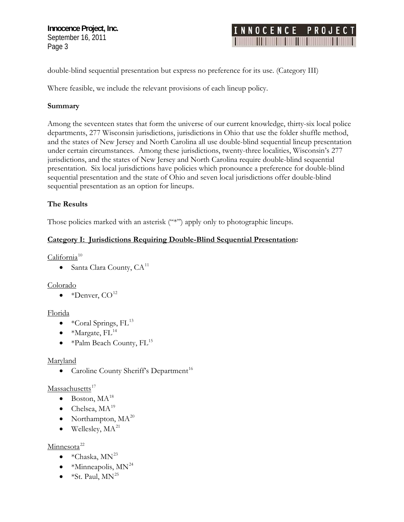# **INNOCENCE PROJE** <u>man pamang</u>

double-blind sequential presentation but express no preference for its use. (Category III)

Where feasible, we include the relevant provisions of each lineup policy.

## Summary

Among the seventeen states that form the universe of our current knowledge, thirty-six local police presentation. Six local jurisdictions have policies which pronounce a preference for double-blind departments, 277 Wisconsin jurisdictions, jurisdictions in Ohio that use the folder shuffle method, and the states of New Jersey and North Carolina all use double-blind sequential lineup presentation under certain circumstances. Among these jurisdictions, twenty-three localities, Wisconsin's 277 jurisdictions, and the states of New Jersey and North Carolina require double-blind sequential sequential presentation and the state of Ohio and seven local jurisdictions offer double-blind sequential presentation as an option for lineups.

## **he Results T**

Those policies marked with an asterisk ("\*") apply only to photographic lineups.

## **Category I: Jurisdictions Requiring Double-Blind Sequential Presentation:**

 $California<sup>10</sup>$ 

• Santa Clara County,  $CA^{11}$ 

Colorado

• \*Denver,  $CO<sup>12</sup>$ 

## Florida

- \*Coral Springs,  $FL^{13}$
- \*Margate,  $FL<sup>14</sup>$  $FL<sup>14</sup>$  $FL<sup>14</sup>$
- \*Palm Beach County,  $FL^{15}$

## Maryland

• Caroline County Sheriff's Department<sup>16</sup>

## Massachusetts<sup>17</sup>

- $\bullet$  Boston, MA<sup>18</sup>
- Chelsea,  $MA<sup>19</sup>$  $MA<sup>19</sup>$  $MA<sup>19</sup>$
- Northampton,  $MA^{20}$
- Wellesley,  $MA^{21}$  $MA^{21}$  $MA^{21}$

## Minnesota<sup>22</sup>

- \*Chaska,  $MN^{23}$
- $*$ Minneapolis, MN<sup>24</sup>
- $*$ St. Paul,  $MN^{25}$  $MN^{25}$  $MN^{25}$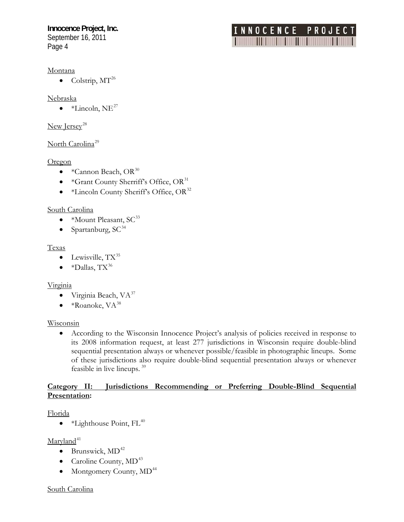#### Montana

• Colstrip,  $MT^{26}$ 

#### Nebraska

 $\bullet\quad*Linear$  -  $\bullet\$ 

#### New Jersey<sup>[28](#page-6-0)</sup>

#### North Carolina<sup>29</sup>

#### **Oregon**

- \*Cannon Beach,  $OR^{30}$
- \*Grant County Sherriff's Office,  $OR^{31}$
- $\bullet$  \*Lincoln County Sheriff's Office, OR<sup>32</sup>

#### South Carolina

- $*$ Mount Pleasant, SC<sup>33</sup>
- Spartanburg,  $SC^{34}$

#### Texas

- Lewisville,  $TX^{35}$
- \*Dallas,  $TX^{36}$

#### Virginia

- Virginia Beach,  $VA^{37}$
- $\bullet$  \*Roanoke, VA $^{38}$

#### Wisconsin

• According to the Wisconsin Innocence Project's analysis of policies received in response to its 2008 information request, at least 277 jurisdictions in Wisconsin require double-blind sequential presentation always or whenever possible/feasible in photographic lineups. Some of these jurisdictions also require double-blind sequential presentation always or whenever feasible in live lineups. [39](#page-7-0)

NNOCENCE PROJE <u> Timba ka</u>

#### Category II: Jurisdictions Recommending or Preferring Double-Blind Sequential **Presentation:**

#### Florida

• \*Lighthouse Point,  $FL^{40}$ 

#### $Maryland<sup>41</sup>$  $Maryland<sup>41</sup>$  $Maryland<sup>41</sup>$

- $\bullet$  Brunswick, MD<sup>[42](#page-7-0)</sup>
- Caroline County,  $MD^{43}$
- Montgomery County,  $MD<sup>44</sup>$

#### South Carolina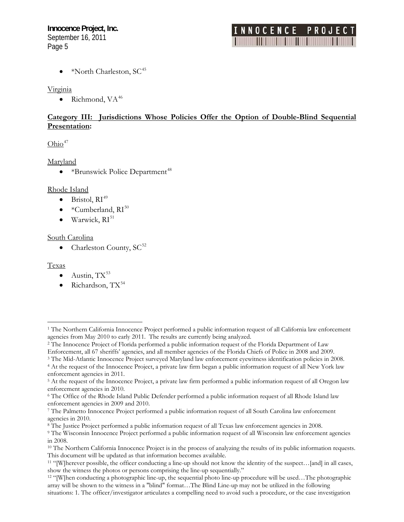# INNOCENCE PROJE

 $*$ North Charleston, SC<sup>[45](#page-7-0)</sup>

### Virginia

• Richmond,  $VA^{46}$  $VA^{46}$  $VA^{46}$ 

## **Category III: Jurisdictions Whose Policies Offer the Option of Double-Blind Sequential Presentation:**

## $Ohio<sup>47</sup>$

<span id="page-4-1"></span>Maryland

• \*Brunswick Police Department<sup>48</sup>

## Rhode Island

- $\bullet$  Bristol,  $RI^{49}$  $RI^{49}$  $RI^{49}$
- $*$ Cumberland,  $RI^{50}$
- $\bullet$  Warwick,  $RI^{51}$

## South Carolina

• Charleston County,  $SC^{52}$ 

## Texas

 $\overline{a}$ 

- Austin,  $TX^{53}$  $TX^{53}$  $TX^{53}$
- Richardson,  $TX^{54}$

<sup>3</sup> The Mid-Atlantic Innocence Project surveyed Maryland law enforcement eyewitness identification policies in 2008.<br><sup>4</sup> At the request of the Innocence Project, a private law firm began a public information request of all

<span id="page-4-0"></span><sup>&</sup>lt;sup>1</sup> The Northern California Innocence Project performed a public information request of all California law enforcement agencies from May 2010 to early 2011. The results are currently being analyzed.

<sup>&</sup>lt;sup>2</sup> The Innocence Project of Florida performed a public information request of the Florida Department of Law Enforcement, all 67 sheriffs' agencies, and all member agencies of the Florida Chiefs of Police in 2008 and 2009.

enforcement agencies in 2011.

<sup>5</sup> At the request of the Innocence Project, a private law firm performed a public information request of all Oregon law enforcement agencies in 2010.

<sup>6</sup> The Office of the Rhode Island Public Defender performed a public information request of all Rhode Island law

enforcement agencies in 2009 and 2010.<br>7 The Palmetto Innocence Project performed a public information request of all South Carolina law enforcement agencies in 2010.

<sup>&</sup>lt;sup>8</sup> The Justice Project performed a public information request of all Texas law enforcement agencies in 2008.<br><sup>9</sup> The Wisconsin Innocence Project performed a public information request of all Wisconsin law enforcement agen in 2008.

<sup>&</sup>lt;sup>10</sup> The Northern California Innocence Project is in the process of analyzing the results of its public information requests. This document will be updated as that information becomes available.<br><sup>11</sup> "[W]herever possible, the officer conducting a line-up should not know the identity of the suspect...[and] in all cases,

show the witness the photos or persons comprising the line-up sequentially." 12 "[W]hen conducting a photographic line-up, the sequential photo line-up procedure will be used…The photographic

array will be shown to the witness in a "blind" format...The Blind Line-up may not be utilized in the following situations: 1. The officer/investigator articulates a compelling need to avoid such a procedure, or the case investigation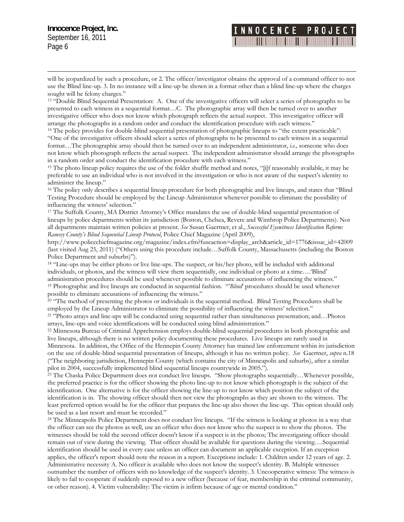$\overline{a}$ 

## INNOCENCE PROJE **THE REAL PROPERTY**

use the Blind line-up. 3. In no instance will a line-up be shown in a format other than a blind line-up where the charges will be jeopardized by such a procedure, or 2. The officer/investigator obtains the approval of a command officer to not sought will be felony charges."

<sup>13</sup> "Double Blind Sequential Presentation: A. One of the investigative officers will select a series of photographs to be arrange the photographs in a random order and conduct the identification procedure with each witness."<br><sup>14</sup> The policy provides for double-blind sequential presentation of photographic lineups to "the extent practicable": presented to each witness in a sequential format…C. The photographic array will then be turned over to another investigative officer who does not know which photograph reflects the actual suspect. This investigative officer will

format...The photographic array should then be turned over to an independent administrator, *i.e.*, someone who does not know which photograph reflects the actual suspect. The independent administrator should arrange the photographs "One of the investigative officers should select a series of photographs to be presented to each witness in a sequential in a random order and conduct the identification procedure with each witness."

<span id="page-5-0"></span><sup>15</sup> The photo lineup policy requires the use of the folder shuffle method and notes, "[i]f reasonably available, it may be preferable to use an individual who is not involved in the investigation or who is not aware of the suspect's identity to administer the lineup."

Testing Procedure should be employed by the Lineup Administrator whenever possible to eliminate the possibility of <sup>16</sup> The policy only describes a sequential lineup procedure for both photographic and live lineups, and states that "Blind" influencing the witness' selection."

lineups by police departments within its jurisdiction (Boston, Chelsea, Revere and Winthrop Police Departments). Not <sup>17</sup> The Suffolk County, MA District Attorney's Office mandates the use of double-blind sequential presentation of all departments maintain written policies at present. *See* Susan Gaertner, et al., *Successful Eyewitness Identification Reform: Ramsey County's Blind Sequential Lineup Protocol*, Police Chief Magazine (April 2009),

http://www.policechiefmagazine.org/magazine/index.cfm?fuseaction=display\_arch&article\_id=1776&issue\_id=42009 (last visited Aug 25, 2011) ("Others using this procedure include...Suffolk County, Massachusetts (including the Boston Police Department and suburbs)").

individuals, or photos, and the witness will view them sequentially, one individual or photo at a time.... Blind' <sup>18</sup> "Line-ups may be either photo or live line-ups. The suspect, or his/her photo, will be included with additional administration procedures should be used whenever possible to eliminate accusations of influencing the witness."<br><sup>19</sup> Photographic and live lineups are conducted in sequential fashion. "Blind" procedures should be used whe

possible to eliminate accusations of influencing the witness." <sup>20</sup> "The method of presenting the photos or individuals is the sequential method. Blind Testing Procedures shall be

employed by the Lineup Administrator to eliminate the possibility of influencing the witness' selection."<br><sup>21</sup> "Photo arrays and line-ups will be conducted using sequential rather than simultaneous presentation; and…Photos

arrays, line-ups and voice identifications will be conducted using blind administration."<br><sup>22</sup> Minnesota Bureau of Criminal Apprehension employs double-blind sequential procedures in both photographic and Minnesota. In addition, the Office of the Hennepin County Attorney has trained law enforcement within its jurisdiction 8 on the use of double-blind sequential presentation of lineups, although it has no written policy. *See* Gaertner, *supra* n.1 ("The neighboring jurisdiction, Hennepin County (which contains the city of Minneapolis and suburbs), after a similar pilot in 2004, successfully implemented blind sequential lineups countywide in 2005.").<br><sup>23</sup> The Chaska Police Department does not conduct live lineups. "Show photographs sequentially…Whenever possible, live lineups, although there is no written policy documenting these procedures. Live lineups are rarely used in

least preferred option would be for the officer that prepares the line-up also shows the line-up. This option should only the preferred practice is for the officer showing the photo line-up to not know which photograph is the subject of the identification. One alternative is for the officer showing the line-up to not know which position the subject of the identification is in. The showing officer should then not view the photographs as they are shown to the witness. The be used as a last resort and must be recorded."

the officer can see the photos as well, use an officer who does not know who the suspect is to show the photos. The identification should be used in every case unless an officer can document an applicable exception. If an exception outnumber the number of officers with no knowledge of the suspect's identity. 3. Uncooperative witness: The witness is or other reason). 4. Victim vulnerability: The victim is infirm because of age or mental condition." <sup>24</sup> The Minneapolis Police Department does not conduct live lineups. "If the witness is looking at photos in a way that witnesses should be told the second officer doesn't know if a suspect is in the photos; The investigating officer should remain out of view during the viewing. That officer should be available for questions during the viewing….Sequential applies, the officer's report should note the reason in a report. Exceptions include: 1. Children under 12 years of age. 2. Administrative necessity A. No officer is available who does not know the suspect's identity. B. Multiple witnesses likely to fail to cooperate if suddenly exposed to a new officer (because of fear, membership in the criminal community,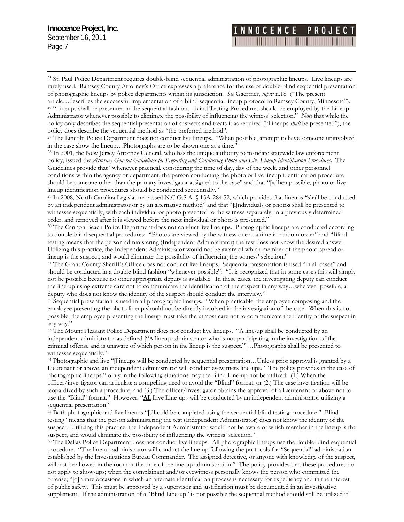$\overline{a}$ 

# **INNOCENCE PROJE** The Company of the Company of

<sup>25</sup> St. Paul Police Department requires double-blind sequential administration of photographic lineups. Live lineups are rarely used. Ramsey County Attorney's Office expresses a preference for the use of double-blind sequential presentation of photographic lineups by police departments within its jurisdiction. *See* Gaertner, *supra* n.18 ("The present

Administrator whenever possible to eliminate the possibility of influencing the witness' selection." Note that while the article...describes the successful implementation of a blind sequential lineup protocol in Ramsey County, Minnesota").<br><sup>26</sup> "Lineups shall be presented in the sequential fashion...Blind Testing Procedures should be employe policy only describes the sequential presentation of suspects and treats it as required ("Lineups *shall* be presented"), the policy does describe the sequential method as "the preferred method".

<sup>27</sup> The Lincoln Police Department does not conduct live lineups. "When possible, attempt to have someone uninvolved in the case show the lineup…Photographs are to be shown one at a time." 28 In 2001, the New Jersey Attorney General, who has the unique authority to mandate statewide law enforcement

<span id="page-6-0"></span>conditions within the agency or department, the person conducting the photo or live lineup identification procedure policy, issued the *Attorney General Guidelines for Preparing and Conducting Photo and Live Lineup Identification Procedures*. The Guidelines provide that "whenever practical, considering the time of day, day of the week, and other personnel should be someone other than the primary investigator assigned to the case" and that "[w]hen possible, photo or live

lineup identification procedures should be conducted sequentially."<br><sup>29</sup> In 2008, North Carolina Legislature passed N.C.G.S.A. § 15A-284.52, which provides that lineups "shall be conducted witnesses sequentially, with each individual or photo presented to the witness separately, in a previously determined by an independent administrator or by an alternative method" and that "[i]ndividuals or photos shall be presented to

order, and removed after it is viewed before the next individual or photo is presented."<br><sup>30</sup> The Cannon Beach Police Department does not conduct live line ups. Photographic lineups are conducted according to double-blind sequential procedures: "Photos are viewed by the witness one at a time in random order" and "Blind testing means that the person administering (Independent Administrator) the test does not know the desired answer. Utilizing this practice, the Independent Administrator would not be aware of which member of the photo-spread or

lineup is the suspect, and would eliminate the possibility of influencing the witness' selection."<br><sup>31</sup> The Grant County Sheriff's Office does not conduct live lineups. Sequential presentation is used "in all cases" and deputy who does not know the identity of the suspect should conduct the interview."<br><sup>32</sup> Sequential presentation is used in all photographic lineups. "When practicable, the employee composing and the should be conducted in a double-blind fashion "whenever possible": "It is recognized that in some cases this will simply not be possible because no other appropriate deputy is available. In these cases, the investigating deputy can conduct the line-up using extreme care not to communicate the identification of the suspect in any way…wherever possible, a

employee presenting the photo lineup should not be directly involved in the investigation of the case. When this is not possible, the employee presenting the lineup must take the utmost care not to communicate the identity of the suspect in any way."

independent administrator as defined ["A lineup administrator who is not participating in the investigation of the <sup>33</sup> The Mount Pleasant Police Department does not conduct live lineups. "A line-up shall be conducted by an criminal offense and is unaware of which person in the lineup is the suspect."]…Photographs shall be presented to witnesses sequentially."

Lieutenant or above, an independent administrator will conduct eyewitness line-ups." The policy provides in the case of officer/investigator can articulate a compelling need to avoid the "Blind" format, or (2.) The case investigation will be jeopardized by such a procedure, and (3.) The officer/investigator obtains the approval of a Lieutenant or above not to use the "Blind" format." However, "All Live Line-ups will be conducted by an independent administrator utilizing a 34 Photographic and live "[l]ineups will be conducted by sequential presentation…Unless prior approval is granted by a photographic lineups "[o]nly in the following situations may the Blind Line-up not be utilized: (1.) When the sequential presentation."

testing "means that the person administering the test (Independent Administrator) does not know the identity of the suspect. Utilizing this practice, the Independent Administrator would not be aware of which member in the lineup is the suspect, and would eliminate the possibility of influencing the witness' selection."<br><sup>36</sup> The Dallas Police Department does not conduct live lineups. All photographic lineups use the double-blind sequential 35 Both photographic and live lineups "[s]hould be completed using the sequential blind testing procedure." Blind

procedure. "The line-up administrator will conduct the line-up following the protocols for "Sequential" administration established by the Investigations Bureau Commander. The assigned detective, or anyone with knowledge of the suspect, offense; "[o]n rare occasions in which an alternate identification process is necessary for expediency and in the interest of public safety. This must be approved by a supervisor and justification must be documented in an investigative supplement. If the administration of a "Blind Line-up" is not possible the sequential method should still be utilized if will not be allowed in the room at the time of the line-up administration." The policy provides that these procedures do not apply to show-ups; when the complainant and/or eyewitness personally knows the person who committed the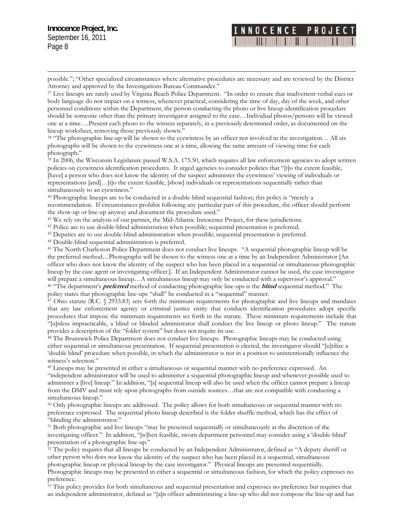$\overline{a}$ 

# INNOCENCE PROJE

possible."; "Other specialized circumstances where alternative procedures are necessary and are reviewed by the District Attorney and approved by the Investigations Bureau Commander."<br><sup>37</sup> Live lineups are rarely used by Virginia Beach Police Department. "In order to ensure that inadvertent verbal cues or

personnel conditions within the Department, the person conducting the photo or live lineup identification procedure one at a time....Present each photo to the witness separately, in a previously determined order, as documented on the body language do not impact on a witness, whenever practical, considering the time of day, day of the week, and other should be someone other than the primary investigator assigned to the case…Individual photos/persons will be viewed lineup worksheet, removing those previously shown."

photographs will be shown to the eyewitness one at a time, allowing the same amount of viewing time for each <sup>38</sup> "The photographic line-up will be shown to the eyewitness by an officer not involved in the investigation... All six photograph."

<span id="page-7-0"></span><sup>39</sup> In 2006, the Wisconsin Legislature passed W.S.A. 175.50, which requires all law enforcement agencies to adopt written policies on eyewitness identification procedures. It urged agencies to consider policies that "[t]o the extent feasible, [have] a person who does not know the identity of the suspect administer the eyewitness' viewing of individuals or representations [and]…[t]o the extent feasible, [show] individuals or representations sequentially rather than simultaneously to an eyewitness."

recommendation. If circumstances prohibit following any particular part of this procedure, the officer should perform the show-up or line-up anyway and document the procedure used." 40 Photographic lineups are to be conducted in a double-blind sequential fashion; this policy is "merely a

<sup>41</sup> We rely on the analysis of our partner, the Mid-Atlantic Innocence Project, for these jurisdictions.<br><sup>42</sup> Police are to use double-blind administration when possible; sequential presentation is preferred.<br><sup>43</sup> Deputie

<sup>45</sup> The North Charleston Police Department does not conduct live lineups. "A sequential photographic lineup will be the preferred method…Photographs will be shown to the witness one at a time by an Independent Administrator [An lineup by the case agent or investigating officer.]. If an Independent Administrator cannot be used, the case investigator will prepare a simultaneous lineup...A simultaneous lineup may only be conducted with a supervisor's approval." <sup>46</sup> "The department's **preferred** method of conducting photographic line-ups is the **blind** sequential method." The officer who does not know the identity of the suspect who has been placed in a sequential or simultaneous photographic

policy states that photographic line-ups "shall" be conducted in a "sequential" manner.<br><sup>47</sup> Ohio statute (R.C. § 2933.83) sets forth the minimum requirements for photographic and live lineups and mandates that any law enforcement agency or criminal justice entity that conducts identification procedures adopt specific procedures that impose the minimum requirements set forth in the statute. These minimum requirements include that "[u]nless impracticable, a blind or blinded administrator shall conduct the live lineup or photo lineup." The statute

<span id="page-7-1"></span>either sequential or simultaneous presentation. If sequential presentation is elected, the investigator should "[u]tilize a 'double blind' procedure when possible, in which the administrator is not in a position to unintentionally influence the provides a description of the "folder system" but does not require its use.<br><sup>48</sup> The Brunswick Police Department does not conduct live lineups. Photographic lineups may be conducted using witness's selection."

from the DMV and must rely upon photographs from outside sources...that are not compatible with conducting a 49 Lineups may be presented in either a simultaneous or sequential manner with no preference expressed. An "independent administrator will be used to administer a sequential photographic lineup and whenever possible used to administer a [live] lineup." In addition, "[a] sequential lineup will also be used when the officer cannot prepare a lineup simultaneous lineup."

"blinding the administrator." 50 Only photographic lineups are addressed. The policy allows for both simultaneous or sequential manner with no preference expressed. The sequential photo lineup described is the folder shuffle method, which has the effect of

51 Both photographic and live lineups "may be presented sequentially or simultaneously at the discretion of the investigating officer." In addition, "[w]hen feasible, sworn department personnel may consider using a 'double-blind' presentation of a photographic line-up."

<span id="page-7-2"></span>r other person who does not know the identity of the suspect who has been placed in a sequential, simultaneous Photographic lineups may be presented in either a sequential or simultaneous fashion, for which the policy expresses no  $52$  The policy requires that all lineups be conducted by an Independent Administrator, defined as "A deputy sheriff of photographic lineup or physical lineup by the case investigator." Physical lineups are presented sequentially. preference.

53 This policy provides for both simultaneous and sequential presentation and expresses no preference but requires that an independent administrator, defined as "[a]n officer administrating a line-up who did not compose the line-up and has